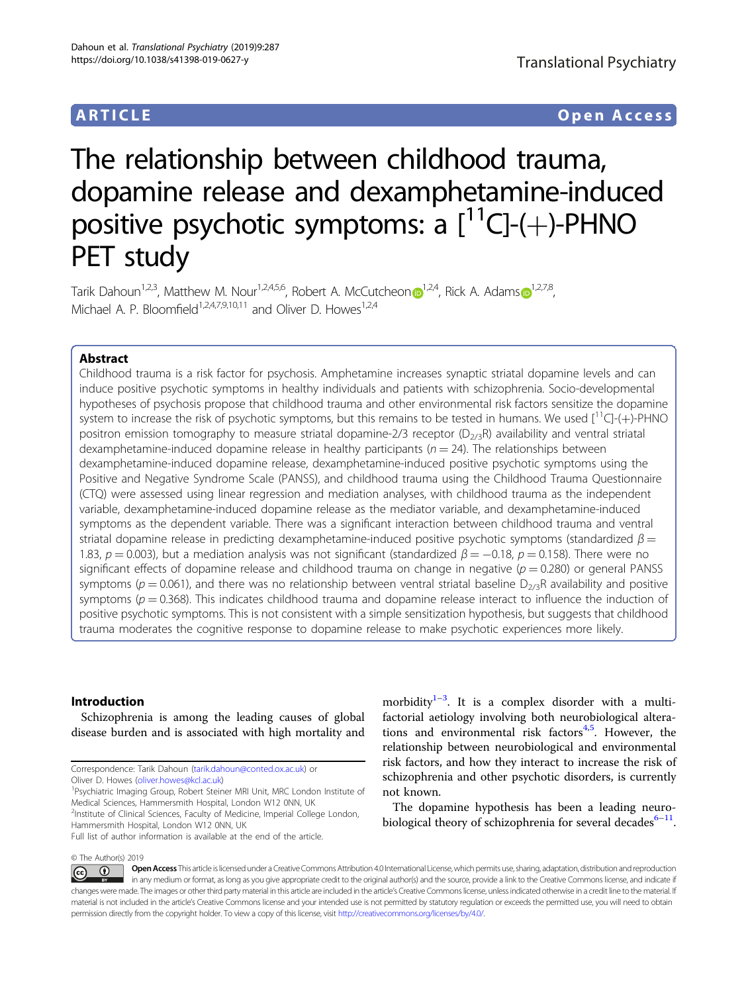# ARTICLE Open Access

# The relationship between childhood trauma, dopamine release and dexamphetamine-induced positive psychotic symptoms: a  $[^{11}C]$ -(+)-PHNO PET study

Tarik Dahou[n](http://orcid.org/0000-0003-1102-2566)<sup>[1](http://orcid.org/0000-0002-7661-8881),2,3</[s](http://orcid.org/0000-0002-7661-8881)up>, Matthew M. Nour<sup>1,2,4,5,6</sup>, Robert A. McCutcheon  $\bullet$ <sup>1,2,4</sup>, Rick A. Adams  $\bullet$ <sup>1,2,7,8</sup>, Michael A. P. Bloomfield<sup>1,2,4,7,9,10,11</sup> and Oliver D. Howes<sup>1,2,4</sup>

# Abstract

Childhood trauma is a risk factor for psychosis. Amphetamine increases synaptic striatal dopamine levels and can induce positive psychotic symptoms in healthy individuals and patients with schizophrenia. Socio-developmental hypotheses of psychosis propose that childhood trauma and other environmental risk factors sensitize the dopamine system to increase the risk of psychotic symptoms, but this remains to be tested in humans. We used  $\left[{}^{11}C\right]-(+)$ -PHNO positron emission tomography to measure striatal dopamine-2/3 receptor ( $D_{2/3}R$ ) availability and ventral striatal dexamphetamine-induced dopamine release in healthy participants ( $n = 24$ ). The relationships between dexamphetamine-induced dopamine release, dexamphetamine-induced positive psychotic symptoms using the Positive and Negative Syndrome Scale (PANSS), and childhood trauma using the Childhood Trauma Questionnaire (CTQ) were assessed using linear regression and mediation analyses, with childhood trauma as the independent variable, dexamphetamine-induced dopamine release as the mediator variable, and dexamphetamine-induced symptoms as the dependent variable. There was a significant interaction between childhood trauma and ventral striatal dopamine release in predicting dexamphetamine-induced positive psychotic symptoms (standardized  $\beta =$ 1.83,  $p = 0.003$ ), but a mediation analysis was not significant (standardized  $\beta = -0.18$ ,  $p = 0.158$ ). There were no significant effects of dopamine release and childhood trauma on change in negative ( $p = 0.280$ ) or general PANSS symptoms ( $p = 0.061$ ), and there was no relationship between ventral striatal baseline  $D_{2/3}R$  availability and positive symptoms ( $p = 0.368$ ). This indicates childhood trauma and dopamine release interact to influence the induction of positive psychotic symptoms. This is not consistent with a simple sensitization hypothesis, but suggests that childhood trauma moderates the cognitive response to dopamine release to make psychotic experiences more likely.

# Introduction

Schizophrenia is among the leading causes of global disease burden and is associated with high mortality and

morbidity $1-3$  $1-3$  $1-3$ . It is a complex disorder with a multifactorial aetiology involving both neurobiological altera-tions and environmental risk factors<sup>[4](#page-9-0),[5](#page-9-0)</sup>. However, the relationship between neurobiological and environmental risk factors, and how they interact to increase the risk of schizophrenia and other psychotic disorders, is currently not known.

The dopamine hypothesis has been a leading neurobiological theory of schizophrenia for several decades $6-11$  $6-11$  $6-11$ .

© The Author(s) 2019

Open Access This article is licensed under a Creative Commons Attribution 4.0 International License, which permits use, sharing, adaptation, distribution and reproduction ം ന  $\left[{\rm (cc)}\right]$ in any medium or format, as long as you give appropriate credit to the original author(s) and the source, provide a link to the Creative Commons license, and indicate if changes were made. The images or other third party material in this article are included in the article's Creative Commons license, unless indicated otherwise in a credit line to the material. If material is not included in the article's Creative Commons license and your intended use is not permitted by statutory regulation or exceeds the permitted use, you will need to obtain permission directly from the copyright holder. To view a copy of this license, visit <http://creativecommons.org/licenses/by/4.0/>.

Correspondence: Tarik Dahoun [\(tarik.dahoun@conted.ox.ac.uk](mailto:tarik.dahoun@conted.ox.ac.uk)) or Oliver D. Howes ([oliver.howes@kcl.ac.uk](mailto:oliver.howes@kcl.ac.uk)) <sup>1</sup>

<sup>&</sup>lt;sup>1</sup>Psychiatric Imaging Group, Robert Steiner MRI Unit, MRC London Institute of Medical Sciences, Hammersmith Hospital, London W12 0NN, UK <sup>2</sup>Institute of Clinical Sciences, Faculty of Medicine, Imperial College London, Hammersmith Hospital, London W12 0NN, UK

Full list of author information is available at the end of the article.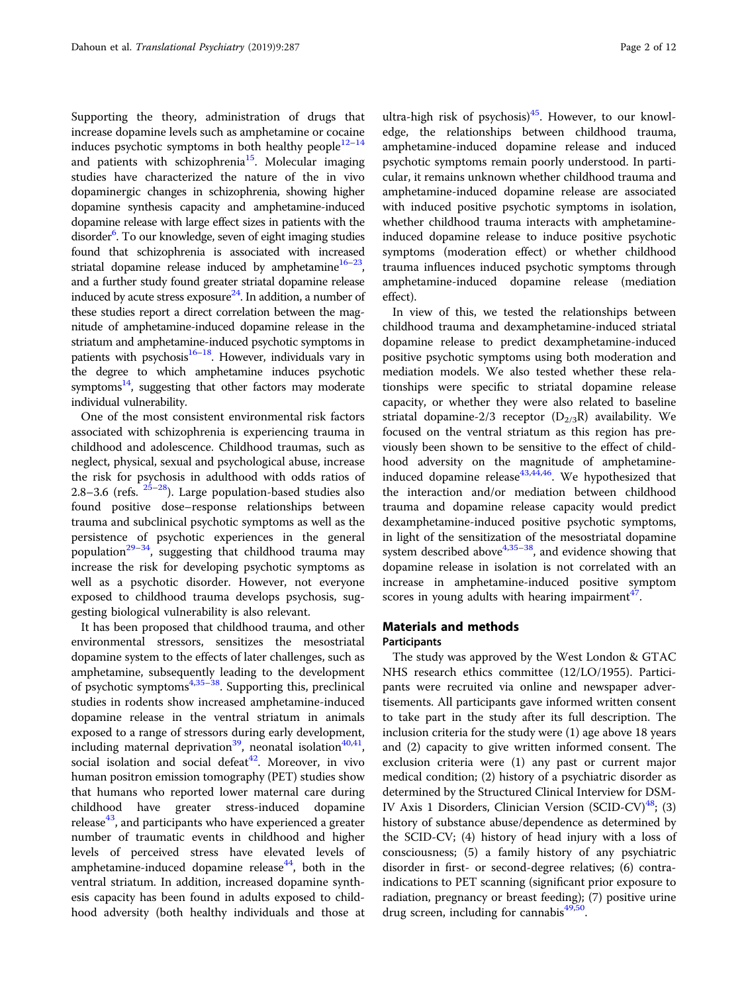Supporting the theory, administration of drugs that increase dopamine levels such as amphetamine or cocaine induces psychotic symptoms in both healthy people $12-14$  $12-14$  $12-14$ and patients with schizophrenia<sup>15</sup>. Molecular imaging studies have characterized the nature of the in vivo dopaminergic changes in schizophrenia, showing higher dopamine synthesis capacity and amphetamine-induced dopamine release with large effect sizes in patients with the disorder<sup>6</sup>. To our knowledge, seven of eight imaging studies found that schizophrenia is associated with increased striatal dopamine release induced by amphetamine<sup>16–[23](#page-10-0)</sup>, and a further study found greater striatal dopamine release induced by acute stress exposure<sup>24</sup>. In addition, a number of these studies report a direct correlation between the magnitude of amphetamine-induced dopamine release in the striatum and amphetamine-induced psychotic symptoms in patients with psychosis<sup>16–[18](#page-10-0)</sup>. However, individuals vary in the degree to which amphetamine induces psychotic symptoms $^{14}$ , suggesting that other factors may moderate individual vulnerability.

One of the most consistent environmental risk factors associated with schizophrenia is experiencing trauma in childhood and adolescence. Childhood traumas, such as neglect, physical, sexual and psychological abuse, increase the risk for psychosis in adulthood with odds ratios of 2.8–3.6 (refs.  $25-28$  $25-28$  $25-28$ ). Large population-based studies also found positive dose–response relationships between trauma and subclinical psychotic symptoms as well as the persistence of psychotic experiences in the general population $^{29-34}$  $^{29-34}$  $^{29-34}$ , suggesting that childhood trauma may increase the risk for developing psychotic symptoms as well as a psychotic disorder. However, not everyone exposed to childhood trauma develops psychosis, suggesting biological vulnerability is also relevant.

It has been proposed that childhood trauma, and other environmental stressors, sensitizes the mesostriatal dopamine system to the effects of later challenges, such as amphetamine, subsequently leading to the development of psychotic symptoms $4,35-38$  $4,35-38$  $4,35-38$  $4,35-38$  $4,35-38$ . Supporting this, preclinical studies in rodents show increased amphetamine-induced dopamine release in the ventral striatum in animals exposed to a range of stressors during early development, including maternal deprivation<sup>[39](#page-10-0)</sup>, neonatal isolation<sup>40,41</sup>, social isolation and social defeat $42$ . Moreover, in vivo human positron emission tomography (PET) studies show that humans who reported lower maternal care during childhood have greater stress-induced dopamine release $43$ , and participants who have experienced a greater number of traumatic events in childhood and higher levels of perceived stress have elevated levels of amphetamine-induced dopamine release $44$ , both in the ventral striatum. In addition, increased dopamine synthesis capacity has been found in adults exposed to childhood adversity (both healthy individuals and those at

ultra-high risk of psychosis) $45$ . However, to our knowledge, the relationships between childhood trauma, amphetamine-induced dopamine release and induced psychotic symptoms remain poorly understood. In particular, it remains unknown whether childhood trauma and amphetamine-induced dopamine release are associated with induced positive psychotic symptoms in isolation, whether childhood trauma interacts with amphetamineinduced dopamine release to induce positive psychotic symptoms (moderation effect) or whether childhood trauma influences induced psychotic symptoms through amphetamine-induced dopamine release (mediation effect).

In view of this, we tested the relationships between childhood trauma and dexamphetamine-induced striatal dopamine release to predict dexamphetamine-induced positive psychotic symptoms using both moderation and mediation models. We also tested whether these relationships were specific to striatal dopamine release capacity, or whether they were also related to baseline striatal dopamine-2/3 receptor  $(D_{2/3}R)$  availability. We focused on the ventral striatum as this region has previously been shown to be sensitive to the effect of childhood adversity on the magnitude of amphetamineinduced dopamine release  $43,44,46$ . We hypothesized that the interaction and/or mediation between childhood trauma and dopamine release capacity would predict dexamphetamine-induced positive psychotic symptoms, in light of the sensitization of the mesostriatal dopamine system described above $4,35-38$  $4,35-38$  $4,35-38$ , and evidence showing that dopamine release in isolation is not correlated with an increase in amphetamine-induced positive symptom scores in young adults with hearing impairment $4$ .

# Materials and methods

# Participants

The study was approved by the West London & GTAC NHS research ethics committee (12/LO/1955). Participants were recruited via online and newspaper advertisements. All participants gave informed written consent to take part in the study after its full description. The inclusion criteria for the study were (1) age above 18 years and (2) capacity to give written informed consent. The exclusion criteria were (1) any past or current major medical condition; (2) history of a psychiatric disorder as determined by the Structured Clinical Interview for DSM-IV Axis 1 Disorders, Clinician Version (SCID-CV) $^{48}$ ; (3) history of substance abuse/dependence as determined by the SCID-CV; (4) history of head injury with a loss of consciousness; (5) a family history of any psychiatric disorder in first- or second-degree relatives; (6) contraindications to PET scanning (significant prior exposure to radiation, pregnancy or breast feeding); (7) positive urine drug screen, including for cannabis<sup>49,50</sup>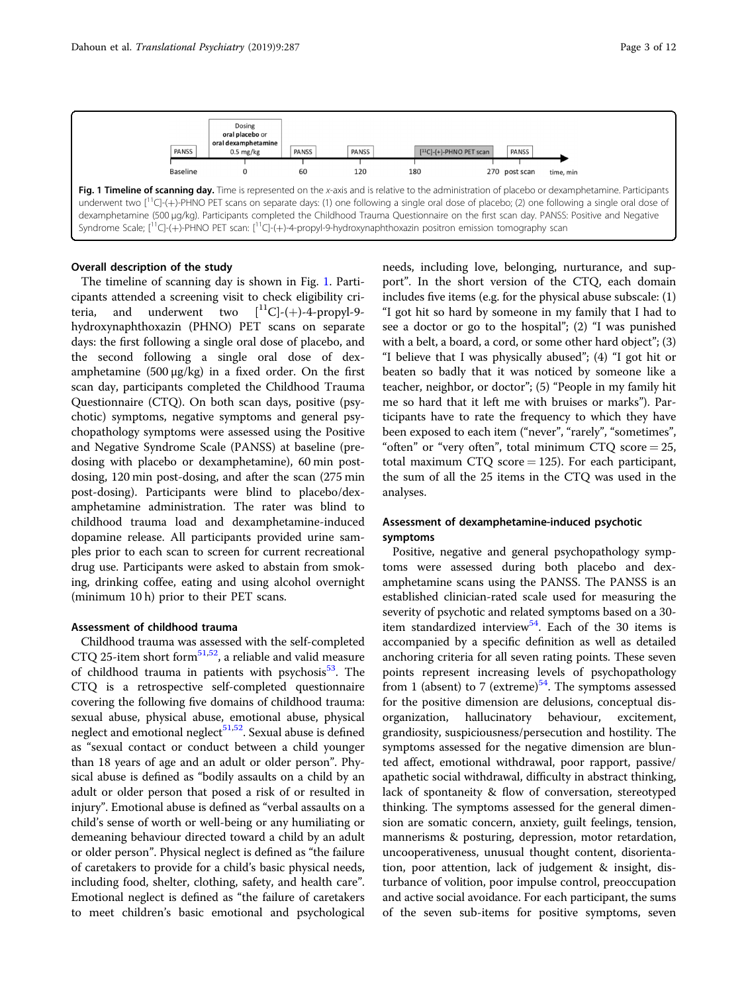

#### Overall description of the study

The timeline of scanning day is shown in Fig. 1. Participants attended a screening visit to check eligibility criteria, and underwent two  $\begin{bmatrix} 1 & 1 \\ 1 & 1 \end{bmatrix}$ -4-propyl-9hydroxynaphthoxazin (PHNO) PET scans on separate days: the first following a single oral dose of placebo, and the second following a single oral dose of dexamphetamine  $(500 \mu g/kg)$  in a fixed order. On the first scan day, participants completed the Childhood Trauma Questionnaire (CTQ). On both scan days, positive (psychotic) symptoms, negative symptoms and general psychopathology symptoms were assessed using the Positive and Negative Syndrome Scale (PANSS) at baseline (predosing with placebo or dexamphetamine), 60 min postdosing, 120 min post-dosing, and after the scan (275 min post-dosing). Participants were blind to placebo/dexamphetamine administration. The rater was blind to childhood trauma load and dexamphetamine-induced dopamine release. All participants provided urine samples prior to each scan to screen for current recreational drug use. Participants were asked to abstain from smoking, drinking coffee, eating and using alcohol overnight (minimum 10 h) prior to their PET scans.

#### Assessment of childhood trauma

Childhood trauma was assessed with the self-completed CTQ 25-item short form<sup>51,52</sup>, a reliable and valid measure of childhood trauma in patients with psychosis $53$ . The CTQ is a retrospective self-completed questionnaire covering the following five domains of childhood trauma: sexual abuse, physical abuse, emotional abuse, physical neglect and emotional neglect<sup>51,52</sup>. Sexual abuse is defined as "sexual contact or conduct between a child younger than 18 years of age and an adult or older person". Physical abuse is defined as "bodily assaults on a child by an adult or older person that posed a risk of or resulted in injury". Emotional abuse is defined as "verbal assaults on a child's sense of worth or well-being or any humiliating or demeaning behaviour directed toward a child by an adult or older person". Physical neglect is defined as "the failure of caretakers to provide for a child's basic physical needs, including food, shelter, clothing, safety, and health care". Emotional neglect is defined as "the failure of caretakers to meet children's basic emotional and psychological needs, including love, belonging, nurturance, and support". In the short version of the CTQ, each domain includes five items (e.g. for the physical abuse subscale: (1) "I got hit so hard by someone in my family that I had to see a doctor or go to the hospital"; (2) "I was punished with a belt, a board, a cord, or some other hard object"; (3) "I believe that I was physically abused"; (4) "I got hit or beaten so badly that it was noticed by someone like a teacher, neighbor, or doctor"; (5) "People in my family hit me so hard that it left me with bruises or marks"). Participants have to rate the frequency to which they have been exposed to each item ("never", "rarely", "sometimes", "often" or "very often", total minimum CTQ score  $= 25$ , total maximum CTQ score  $=$  125). For each participant, the sum of all the 25 items in the CTQ was used in the analyses.

# Assessment of dexamphetamine-induced psychotic symptoms

Positive, negative and general psychopathology symptoms were assessed during both placebo and dexamphetamine scans using the PANSS. The PANSS is an established clinician-rated scale used for measuring the severity of psychotic and related symptoms based on a 30 item standardized interview<sup>54</sup>. Each of the 30 items is accompanied by a specific definition as well as detailed anchoring criteria for all seven rating points. These seven points represent increasing levels of psychopathology from 1 (absent) to 7 (extreme)<sup>[54](#page-10-0)</sup>. The symptoms assessed for the positive dimension are delusions, conceptual disorganization, hallucinatory behaviour, excitement, grandiosity, suspiciousness/persecution and hostility. The symptoms assessed for the negative dimension are blunted affect, emotional withdrawal, poor rapport, passive/ apathetic social withdrawal, difficulty in abstract thinking, lack of spontaneity & flow of conversation, stereotyped thinking. The symptoms assessed for the general dimension are somatic concern, anxiety, guilt feelings, tension, mannerisms & posturing, depression, motor retardation, uncooperativeness, unusual thought content, disorientation, poor attention, lack of judgement & insight, disturbance of volition, poor impulse control, preoccupation and active social avoidance. For each participant, the sums of the seven sub-items for positive symptoms, seven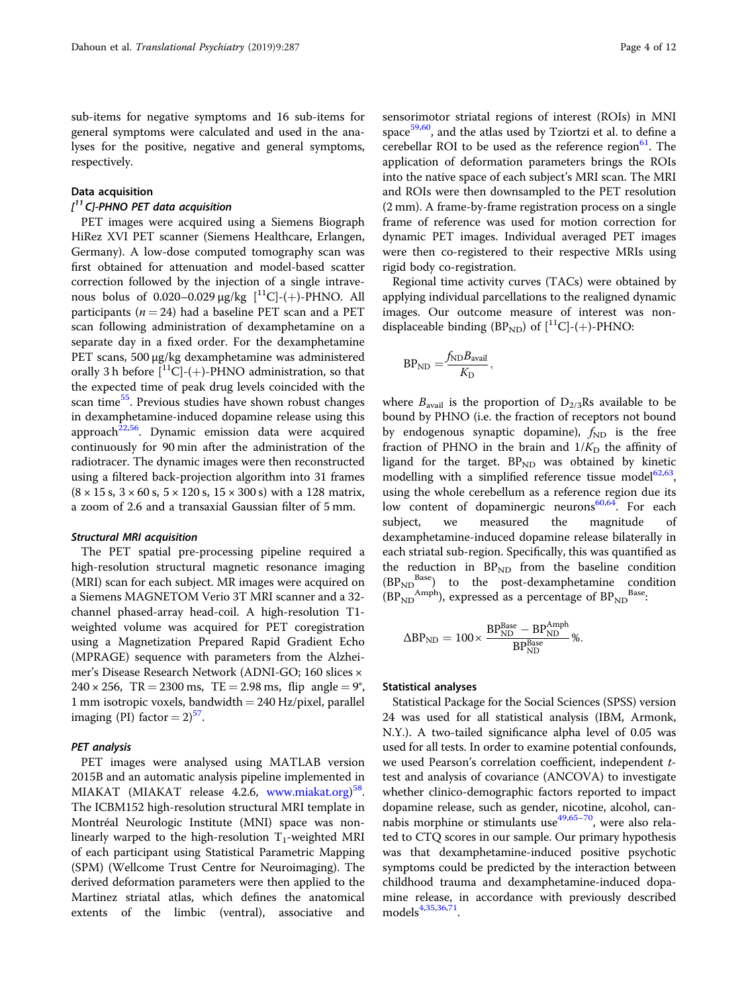sub-items for negative symptoms and 16 sub-items for general symptoms were calculated and used in the analyses for the positive, negative and general symptoms, respectively.

# Data acquisition

# $I<sup>11</sup>$  Cl-PHNO PET data acquisition

PET images were acquired using a Siemens Biograph HiRez XVI PET scanner (Siemens Healthcare, Erlangen, Germany). A low-dose computed tomography scan was first obtained for attenuation and model-based scatter correction followed by the injection of a single intravenous bolus of  $0.020 - 0.029 \mu g/kg$   $\left[^{11}C\right]$ -(+)-PHNO. All participants ( $n = 24$ ) had a baseline PET scan and a PET scan following administration of dexamphetamine on a separate day in a fixed order. For the dexamphetamine PET scans, 500 µg/kg dexamphetamine was administered orally 3 h before  $\binom{11}{-}$ -(+)-PHNO administration, so that the expected time of peak drug levels coincided with the scan time<sup>[55](#page-10-0)</sup>. Previous studies have shown robust changes in dexamphetamine-induced dopamine release using this approach $22,56$ . Dynamic emission data were acquired continuously for 90 min after the administration of the radiotracer. The dynamic images were then reconstructed using a filtered back-projection algorithm into 31 frames  $(8 \times 15 \text{ s}, 3 \times 60 \text{ s}, 5 \times 120 \text{ s}, 15 \times 300 \text{ s})$  with a 128 matrix, a zoom of 2.6 and a transaxial Gaussian filter of 5 mm.

#### Structural MRI acquisition

The PET spatial pre-processing pipeline required a high-resolution structural magnetic resonance imaging (MRI) scan for each subject. MR images were acquired on a Siemens MAGNETOM Verio 3T MRI scanner and a 32 channel phased-array head-coil. A high-resolution T1 weighted volume was acquired for PET coregistration using a Magnetization Prepared Rapid Gradient Echo (MPRAGE) sequence with parameters from the Alzheimer's Disease Research Network (ADNI-GO; 160 slices ×  $240 \times 256$ , TR = 2300 ms, TE = 2.98 ms, flip angle = 9°, 1 mm isotropic voxels, bandwidth  $= 240$  Hz/pixel, parallel imaging (PI) factor  $= 2$ )<sup>57</sup>.

#### PET analysis

PET images were analysed using MATLAB version 2015B and an automatic analysis pipeline implemented in MIAKAT (MIAKAT release 4.2.6, [www.miakat.org\)](http://www.miakat.org)<sup>[58](#page-10-0)</sup>. The ICBM152 high-resolution structural MRI template in Montréal Neurologic Institute (MNI) space was nonlinearly warped to the high-resolution  $T_1$ -weighted MRI of each participant using Statistical Parametric Mapping (SPM) (Wellcome Trust Centre for Neuroimaging). The derived deformation parameters were then applied to the Martinez striatal atlas, which defines the anatomical extents of the limbic (ventral), associative and

sensorimotor striatal regions of interest (ROIs) in MNI space<sup>[59](#page-10-0),[60](#page-10-0)</sup>, and the atlas used by Tziortzi et al. to define a cerebellar ROI to be used as the reference region $61$ . The application of deformation parameters brings the ROIs into the native space of each subject's MRI scan. The MRI and ROIs were then downsampled to the PET resolution (2 mm). A frame-by-frame registration process on a single frame of reference was used for motion correction for dynamic PET images. Individual averaged PET images were then co-registered to their respective MRIs using rigid body co-registration.

Regional time activity curves (TACs) were obtained by applying individual parcellations to the realigned dynamic images. Our outcome measure of interest was nondisplaceable binding (BP<sub>ND</sub>) of  $[^{11}C]$ -(+)-PHNO:

$$
BP_{ND} = \frac{f_{ND}B_{avail}}{K_D},
$$

where  $B_{\text{avail}}$  is the proportion of  $D_{2/3}$ Rs available to be bound by PHNO (i.e. the fraction of receptors not bound by endogenous synaptic dopamine),  $f_{ND}$  is the free fraction of PHNO in the brain and  $1/K_D$  the affinity of ligand for the target.  $BP_{ND}$  was obtained by kinetic modelling with a simplified reference tissue model $62,63$ , using the whole cerebellum as a reference region due its low content of dopaminergic neurons $60,64$ . For each subject, we measured the magnitude dexamphetamine-induced dopamine release bilaterally in each striatal sub-region. Specifically, this was quantified as the reduction in  $BP_{ND}$  from the baseline condition ( $BP_{ND}$ <sup>Base</sup>) to the post-dexamphetamine condition to the post-dexamphetamine condition  $(BP_{ND}^{Amph})$ , expressed as a percentage of  $BP_{ND}^{Base}$ :

$$
\Delta BP_{\mathrm{ND}} = 100 \times \frac{BP_{\mathrm{ND}}^{\mathrm{Base}} - BP_{\mathrm{ND}}^{\mathrm{Amph}}}{BP_{\mathrm{ND}}^{\mathrm{Base}}} \%.
$$

#### Statistical analyses

Statistical Package for the Social Sciences (SPSS) version 24 was used for all statistical analysis (IBM, Armonk, N.Y.). A two-tailed significance alpha level of 0.05 was used for all tests. In order to examine potential confounds, we used Pearson's correlation coefficient, independent ttest and analysis of covariance (ANCOVA) to investigate whether clinico-demographic factors reported to impact dopamine release, such as gender, nicotine, alcohol, cannabis morphine or stimulants use $49,65-70$  $49,65-70$  $49,65-70$  $49,65-70$ , were also related to CTQ scores in our sample. Our primary hypothesis was that dexamphetamine-induced positive psychotic symptoms could be predicted by the interaction between childhood trauma and dexamphetamine-induced dopamine release, in accordance with previously described models<sup>[4](#page-9-0)[,35,36](#page-10-0),[71](#page-11-0)</sup>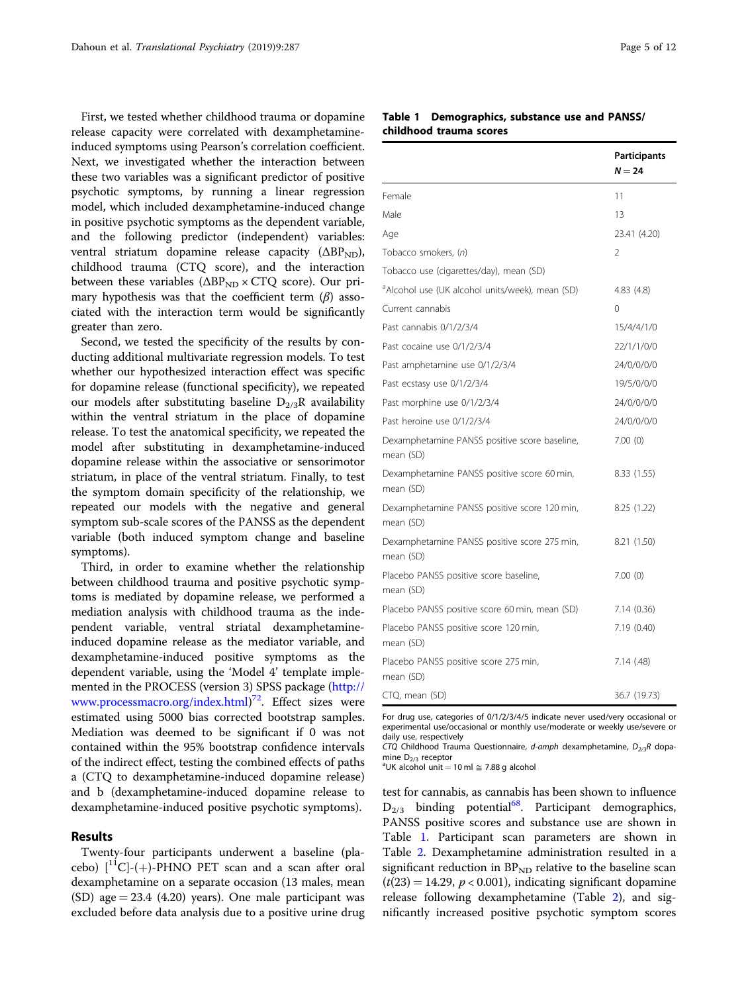<span id="page-4-0"></span>First, we tested whether childhood trauma or dopamine release capacity were correlated with dexamphetamineinduced symptoms using Pearson's correlation coefficient. Next, we investigated whether the interaction between these two variables was a significant predictor of positive psychotic symptoms, by running a linear regression model, which included dexamphetamine-induced change in positive psychotic symptoms as the dependent variable, and the following predictor (independent) variables: ventral striatum dopamine release capacity  $(\Delta BP_{ND})$ , childhood trauma (CTQ score), and the interaction between these variables  $(\Delta BP_{ND} \times CTQ \text{ score})$ . Our primary hypothesis was that the coefficient term  $(\beta)$  associated with the interaction term would be significantly greater than zero.

Second, we tested the specificity of the results by conducting additional multivariate regression models. To test whether our hypothesized interaction effect was specific for dopamine release (functional specificity), we repeated our models after substituting baseline  $D_{2/3}R$  availability within the ventral striatum in the place of dopamine release. To test the anatomical specificity, we repeated the model after substituting in dexamphetamine-induced dopamine release within the associative or sensorimotor striatum, in place of the ventral striatum. Finally, to test the symptom domain specificity of the relationship, we repeated our models with the negative and general symptom sub-scale scores of the PANSS as the dependent variable (both induced symptom change and baseline symptoms).

Third, in order to examine whether the relationship between childhood trauma and positive psychotic symptoms is mediated by dopamine release, we performed a mediation analysis with childhood trauma as the independent variable, ventral striatal dexamphetamineinduced dopamine release as the mediator variable, and dexamphetamine-induced positive symptoms as the dependent variable, using the 'Model 4' template implemented in the PROCESS (version 3) SPSS package ([http://](http://www.processmacro.org/index.html) [www.processmacro.org/index.html\)](http://www.processmacro.org/index.html) [72](#page-11-0). Effect sizes were estimated using 5000 bias corrected bootstrap samples. Mediation was deemed to be significant if 0 was not contained within the 95% bootstrap confidence intervals of the indirect effect, testing the combined effects of paths a (CTQ to dexamphetamine-induced dopamine release) and b (dexamphetamine-induced dopamine release to dexamphetamine-induced positive psychotic symptoms).

# Results

Twenty-four participants underwent a baseline (placebo)  $\binom{11}{ }$ -(+)-PHNO PET scan and a scan after oral dexamphetamine on a separate occasion (13 males, mean (SD) age  $= 23.4$  (4.20) years). One male participant was excluded before data analysis due to a positive urine drug

# Table 1 Demographics, substance use and PANSS/ childhood trauma scores

|                                                             | Participants<br>$N = 24$ |
|-------------------------------------------------------------|--------------------------|
| Female                                                      | 11                       |
| Male                                                        | 13                       |
| Age                                                         | 23.41 (4.20)             |
| Tobacco smokers, (n)                                        | $\mathfrak{D}$           |
| Tobacco use (cigarettes/day), mean (SD)                     |                          |
| <sup>a</sup> Alcohol use (UK alcohol units/week), mean (SD) | 4.83(4.8)                |
| Current cannabis                                            | 0                        |
| Past cannabis 0/1/2/3/4                                     | 15/4/4/1/0               |
| Past cocaine use 0/1/2/3/4                                  | 22/1/1/0/0               |
| Past amphetamine use 0/1/2/3/4                              | 24/0/0/0/0               |
| Past ecstasy use 0/1/2/3/4                                  | 19/5/0/0/0               |
| Past morphine use 0/1/2/3/4                                 | 24/0/0/0/0               |
| Past heroine use 0/1/2/3/4                                  | 24/0/0/0/0               |
| Dexamphetamine PANSS positive score baseline,<br>mean (SD)  | 7.00(0)                  |
| Dexamphetamine PANSS positive score 60 min,<br>mean (SD)    | 8.33(1.55)               |
| Dexamphetamine PANSS positive score 120 min,<br>mean (SD)   | 8.25 (1.22)              |
| Dexamphetamine PANSS positive score 275 min,<br>mean (SD)   | 8.21 (1.50)              |
| Placebo PANSS positive score baseline,<br>mean (SD)         | 7.00(0)                  |
| Placebo PANSS positive score 60 min, mean (SD)              | 7.14(0.36)               |
| Placebo PANSS positive score 120 min,<br>mean (SD)          | 7.19(0.40)               |
| Placebo PANSS positive score 275 min,<br>mean (SD)          | 7.14 (.48)               |
| CTQ, mean (SD)                                              | 36.7 (19.73)             |

For drug use, categories of 0/1/2/3/4/5 indicate never used/very occasional or experimental use/occasional or monthly use/moderate or weekly use/severe or daily use, respectively

CTQ Childhood Trauma Questionnaire, d-amph dexamphetamine,  $D_{2/3}R$  dopamine  $D_{2/3}$  receptor

<sup>a</sup>UK alcohol unit = 10 ml  $\approx$  7.88 g alcohol

test for cannabis, as cannabis has been shown to influence  $D_{2/3}$  binding potential<sup>68</sup>. Participant demographics, PANSS positive scores and substance use are shown in Table 1. Participant scan parameters are shown in Table [2](#page-5-0). Dexamphetamine administration resulted in a significant reduction in  $BP_{ND}$  relative to the baseline scan  $(t(23) = 14.29, p < 0.001)$ , indicating significant dopamine release following dexamphetamine (Table [2\)](#page-5-0), and significantly increased positive psychotic symptom scores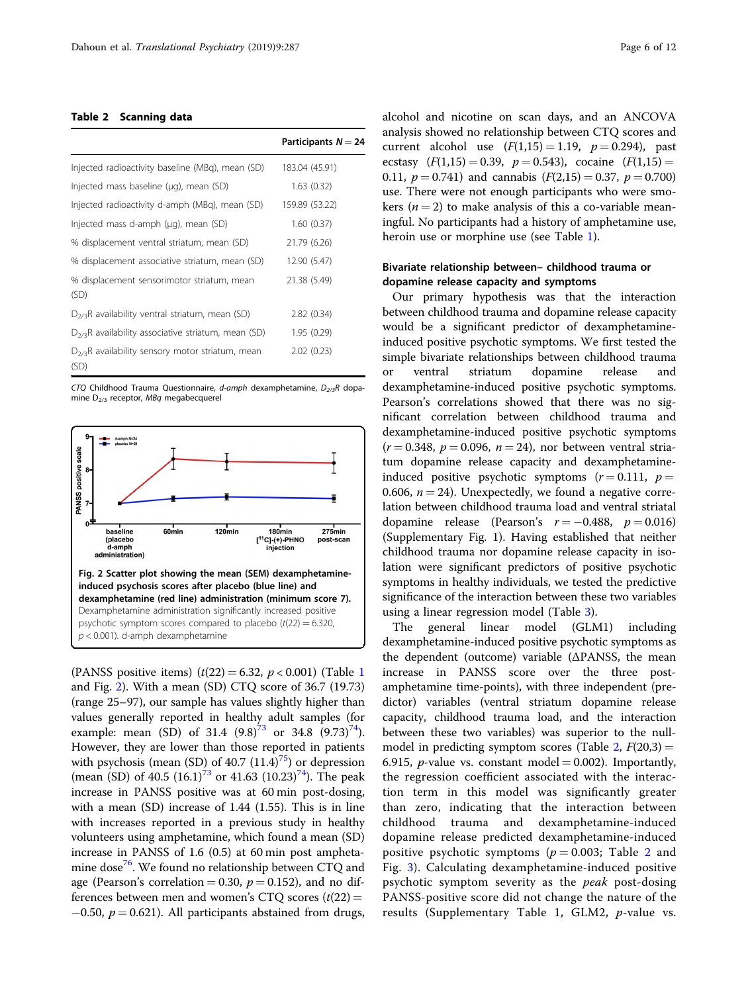#### <span id="page-5-0"></span>Table 2 Scanning data

|                                                              | Participants $N = 24$ |
|--------------------------------------------------------------|-----------------------|
| Injected radioactivity baseline (MBg), mean (SD)             | 183.04 (45.91)        |
| Injected mass baseline (µg), mean (SD)                       | 1.63(0.32)            |
| Injected radioactivity d-amph (MBq), mean (SD)               | 159.89 (53.22)        |
| Injected mass d-amph (µg), mean (SD)                         | 1.60(0.37)            |
| % displacement ventral striatum, mean (SD)                   | 21.79 (6.26)          |
| % displacement associative striatum, mean (SD)               | 12.90 (5.47)          |
| % displacement sensorimotor striatum, mean<br>(SD)           | 21.38 (5.49)          |
| $D_{2/3}R$ availability ventral striatum, mean (SD)          | 2.82(0.34)            |
| $D_{2/3}R$ availability associative striatum, mean (SD)      | 1.95 (0.29)           |
| $D_{2/3}R$ availability sensory motor striatum, mean<br>(SD) | 2.02(0.23)            |

CTQ Childhood Trauma Questionnaire, d-amph dexamphetamine,  $D_{2/3}R$  dopamine  $D_{2/3}$  receptor, MBq megabecquerel



(PANSS positive items)  $(t(22) = 6.32, p < 0.001)$  $(t(22) = 6.32, p < 0.001)$  $(t(22) = 6.32, p < 0.001)$  (Table 1) and Fig. 2). With a mean (SD) CTQ score of 36.7 (19.73) (range 25–97), our sample has values slightly higher than values generally reported in healthy adult samples (for example: mean (SD) of 31.4  $(9.8)^{73}$  $(9.8)^{73}$  $(9.8)^{73}$  or 34.8  $(9.73)^{74}$  $(9.73)^{74}$  $(9.73)^{74}$ ). However, they are lower than those reported in patients with psychosis (mean (SD) of  $40.7$   $(11.4)^{75}$  $(11.4)^{75}$  $(11.4)^{75}$ ) or depression (mean (SD) of 40.5  $(16.1)^{73}$  $(16.1)^{73}$  $(16.1)^{73}$  or 41.63  $(10.23)^{74}$ ). The peak increase in PANSS positive was at 60 min post-dosing, with a mean (SD) increase of 1.44 (1.55). This is in line with increases reported in a previous study in healthy volunteers using amphetamine, which found a mean (SD) increase in PANSS of 1.6 (0.5) at 60 min post ampheta-mine dose<sup>[76](#page-11-0)</sup>. We found no relationship between CTQ and age (Pearson's correlation = 0.30,  $p = 0.152$ ), and no differences between men and women's CTQ scores  $(t(22) =$  $-0.50$ ,  $p = 0.621$ ). All participants abstained from drugs, alcohol and nicotine on scan days, and an ANCOVA analysis showed no relationship between CTQ scores and current alcohol use  $(F(1,15) = 1.19, p = 0.294)$ , past ecstasy  $(F(1,15) = 0.39, p = 0.543)$ , cocaine  $(F(1,15) =$ 0.11,  $p = 0.741$ ) and cannabis  $(F(2,15) = 0.37, p = 0.700)$ use. There were not enough participants who were smokers ( $n = 2$ ) to make analysis of this a co-variable meaningful. No participants had a history of amphetamine use, heroin use or morphine use (see Table [1\)](#page-4-0).

# Bivariate relationship between– childhood trauma or dopamine release capacity and symptoms

Our primary hypothesis was that the interaction between childhood trauma and dopamine release capacity would be a significant predictor of dexamphetamineinduced positive psychotic symptoms. We first tested the simple bivariate relationships between childhood trauma or ventral striatum dopamine release and dexamphetamine-induced positive psychotic symptoms. Pearson's correlations showed that there was no significant correlation between childhood trauma and dexamphetamine-induced positive psychotic symptoms  $(r = 0.348, p = 0.096, n = 24)$ , nor between ventral striatum dopamine release capacity and dexamphetamineinduced positive psychotic symptoms  $(r = 0.111, p =$ 0.606,  $n = 24$ ). Unexpectedly, we found a negative correlation between childhood trauma load and ventral striatal dopamine release (Pearson's  $r = -0.488$ ,  $p = 0.016$ ) (Supplementary Fig. 1). Having established that neither childhood trauma nor dopamine release capacity in isolation were significant predictors of positive psychotic symptoms in healthy individuals, we tested the predictive significance of the interaction between these two variables using a linear regression model (Table [3\)](#page-6-0).

The general linear model (GLM1) including dexamphetamine-induced positive psychotic symptoms as the dependent (outcome) variable (ΔPANSS, the mean increase in PANSS score over the three postamphetamine time-points), with three independent (predictor) variables (ventral striatum dopamine release capacity, childhood trauma load, and the interaction between these two variables) was superior to the nullmodel in predicting symptom scores (Table 2,  $F(20,3) =$ 6.915, *p*-value vs. constant model = 0.002). Importantly, the regression coefficient associated with the interaction term in this model was significantly greater than zero, indicating that the interaction between childhood trauma and dexamphetamine-induced dopamine release predicted dexamphetamine-induced positive psychotic symptoms ( $p = 0.003$ ; Table 2 and Fig. [3](#page-6-0)). Calculating dexamphetamine-induced positive psychotic symptom severity as the *peak* post-dosing PANSS-positive score did not change the nature of the results (Supplementary Table 1, GLM2, p-value vs.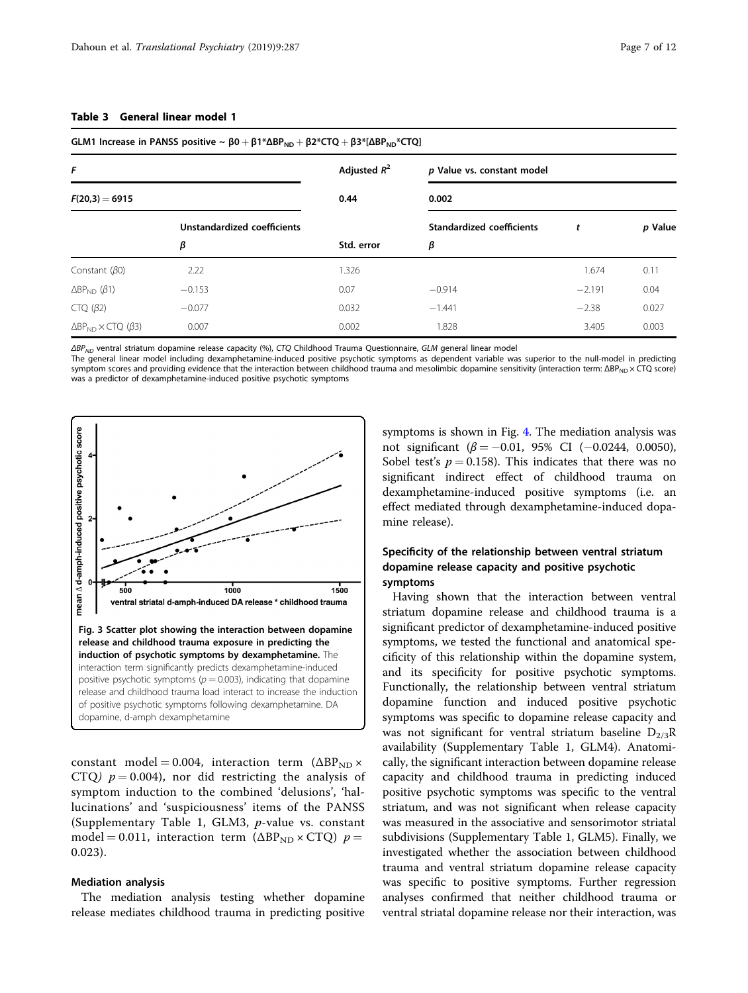| GLM1 Increase in PANSS positive $\sim \beta 0 + \beta 1 * \Delta BP_{ND} + \beta 2 * CTQ + \beta 3 * [\Delta BP_{ND} * CTQ]$ |          |                        |                                     |          |       |  |                                  |            |
|------------------------------------------------------------------------------------------------------------------------------|----------|------------------------|-------------------------------------|----------|-------|--|----------------------------------|------------|
| F<br>$F(20,3) = 6915$                                                                                                        |          | Adjusted $R^2$<br>0.44 | p Value vs. constant model<br>0.002 |          |       |  |                                  |            |
|                                                                                                                              |          |                        |                                     |          |       |  | Unstandardized coefficients<br>β | Std. error |
|                                                                                                                              | β        |                        |                                     |          |       |  |                                  |            |
| Constant $(\beta 0)$                                                                                                         | 2.22     | 1.326                  |                                     | 1.674    | 0.11  |  |                                  |            |
| $\Delta BP_{ND}$ ( $\beta$ 1)                                                                                                | $-0.153$ | 0.07                   | $-0.914$                            | $-2.191$ | 0.04  |  |                                  |            |
| $CTQ (\beta2)$                                                                                                               | $-0.077$ | 0.032                  | $-1.441$                            | $-2.38$  | 0.027 |  |                                  |            |
| $\triangle BP_{ND} \times CTO$ ( $\beta$ 3)                                                                                  | 0.007    | 0.002                  | 1.828                               | 3.405    | 0.003 |  |                                  |            |

# <span id="page-6-0"></span>Table 3 General linear model 1

 $\Delta BP_{ND}$  ventral striatum dopamine release capacity (%), CTQ Childhood Trauma Questionnaire, GLM general linear model

The general linear model including dexamphetamine-induced positive psychotic symptoms as dependent variable was superior to the null-model in predicting symptom scores and providing evidence that the interaction between childhood trauma and mesolimbic dopamine sensitivity (interaction term: ΔΒΡ<sub>ΝD</sub> × CTQ score) was a predictor of dexamphetamine-induced positive psychotic symptoms



constant model = 0.004, interaction term  $(\Delta BP_{ND} \times$ CTQ)  $p = 0.004$ , nor did restricting the analysis of symptom induction to the combined 'delusions', 'hallucinations' and 'suspiciousness' items of the PANSS (Supplementary Table 1, GLM3, p-value vs. constant model = 0.011, interaction term ( $\triangle BP_{ND} \times CTQ$ )  $p =$ 0.023).

#### Mediation analysis

The mediation analysis testing whether dopamine release mediates childhood trauma in predicting positive symptoms is shown in Fig. [4](#page-7-0). The mediation analysis was not significant ( $\beta = -0.01$ , 95% CI (-0.0244, 0.0050), Sobel test's  $p = 0.158$ ). This indicates that there was no significant indirect effect of childhood trauma on dexamphetamine-induced positive symptoms (i.e. an effect mediated through dexamphetamine-induced dopamine release).

# Specificity of the relationship between ventral striatum dopamine release capacity and positive psychotic symptoms

Having shown that the interaction between ventral striatum dopamine release and childhood trauma is a significant predictor of dexamphetamine-induced positive symptoms, we tested the functional and anatomical specificity of this relationship within the dopamine system, and its specificity for positive psychotic symptoms. Functionally, the relationship between ventral striatum dopamine function and induced positive psychotic symptoms was specific to dopamine release capacity and was not significant for ventral striatum baseline  $D_{2/3}R$ availability (Supplementary Table 1, GLM4). Anatomically, the significant interaction between dopamine release capacity and childhood trauma in predicting induced positive psychotic symptoms was specific to the ventral striatum, and was not significant when release capacity was measured in the associative and sensorimotor striatal subdivisions (Supplementary Table 1, GLM5). Finally, we investigated whether the association between childhood trauma and ventral striatum dopamine release capacity was specific to positive symptoms. Further regression analyses confirmed that neither childhood trauma or ventral striatal dopamine release nor their interaction, was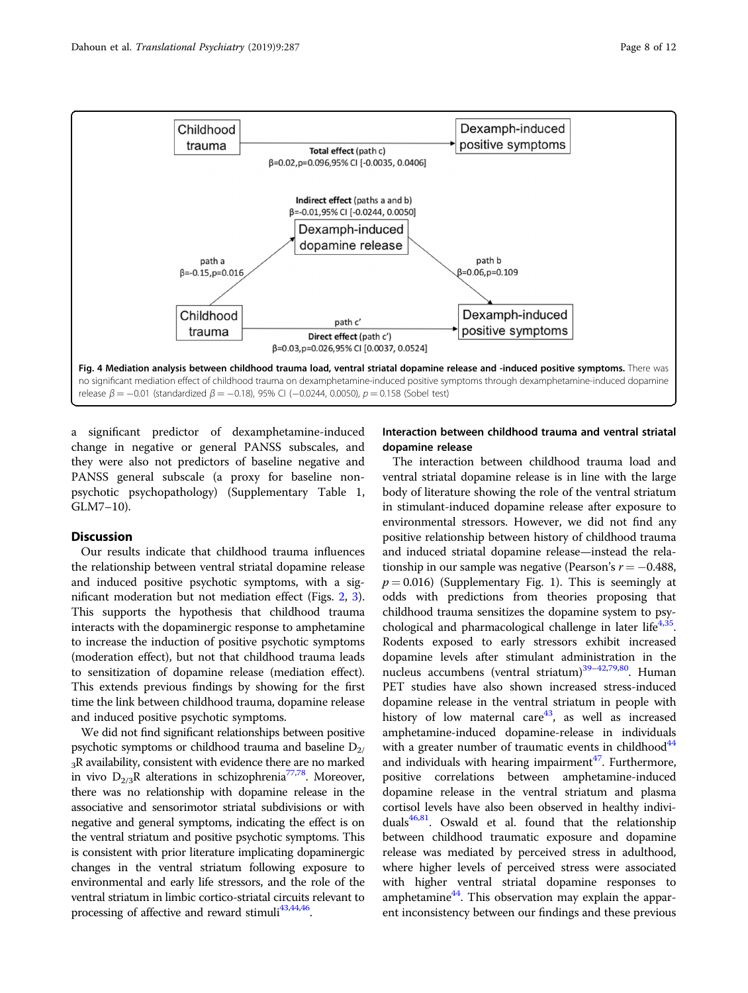<span id="page-7-0"></span>

a significant predictor of dexamphetamine-induced change in negative or general PANSS subscales, and they were also not predictors of baseline negative and PANSS general subscale (a proxy for baseline nonpsychotic psychopathology) (Supplementary Table 1, GLM7–10).

# **Discussion**

Our results indicate that childhood trauma influences the relationship between ventral striatal dopamine release and induced positive psychotic symptoms, with a significant moderation but not mediation effect (Figs. [2,](#page-5-0) [3](#page-6-0)). This supports the hypothesis that childhood trauma interacts with the dopaminergic response to amphetamine to increase the induction of positive psychotic symptoms (moderation effect), but not that childhood trauma leads to sensitization of dopamine release (mediation effect). This extends previous findings by showing for the first time the link between childhood trauma, dopamine release and induced positive psychotic symptoms.

We did not find significant relationships between positive psychotic symptoms or childhood trauma and baseline  $D_{2/}$  $3R$  availability, consistent with evidence there are no marked in vivo  $D_{2/3}R$  alterations in schizophrenia<sup>77,78</sup>. Moreover, there was no relationship with dopamine release in the associative and sensorimotor striatal subdivisions or with negative and general symptoms, indicating the effect is on the ventral striatum and positive psychotic symptoms. This is consistent with prior literature implicating dopaminergic changes in the ventral striatum following exposure to environmental and early life stressors, and the role of the ventral striatum in limbic cortico-striatal circuits relevant to processing of affective and reward stimuli<sup>[43,44](#page-10-0),46</sup>.

# Interaction between childhood trauma and ventral striatal dopamine release

The interaction between childhood trauma load and ventral striatal dopamine release is in line with the large body of literature showing the role of the ventral striatum in stimulant-induced dopamine release after exposure to environmental stressors. However, we did not find any positive relationship between history of childhood trauma and induced striatal dopamine release—instead the relationship in our sample was negative (Pearson's  $r = -0.488$ ,  $p = 0.016$ ) (Supplementary Fig. 1). This is seemingly at odds with predictions from theories proposing that childhood trauma sensitizes the dopamine system to psy-chological and pharmacological challenge in later life<sup>4,[35](#page-10-0)</sup>. Rodents exposed to early stressors exhibit increased dopamine levels after stimulant administration in the nucleus accumbens (ventral striatum)<sup>39-[42](#page-10-0),79,80</sup>. Human PET studies have also shown increased stress-induced dopamine release in the ventral striatum in people with history of low maternal care<sup>43</sup>, as well as increased amphetamine-induced dopamine-release in individuals with a greater number of traumatic events in childhood<sup>44</sup> and individuals with hearing impairment $47$ . Furthermore, positive correlations between amphetamine-induced dopamine release in the ventral striatum and plasma cortisol levels have also been observed in healthy individuals $46,81$  $46,81$ . Oswald et al. found that the relationship between childhood traumatic exposure and dopamine release was mediated by perceived stress in adulthood, where higher levels of perceived stress were associated with higher ventral striatal dopamine responses to amphetamine $44$ . This observation may explain the apparent inconsistency between our findings and these previous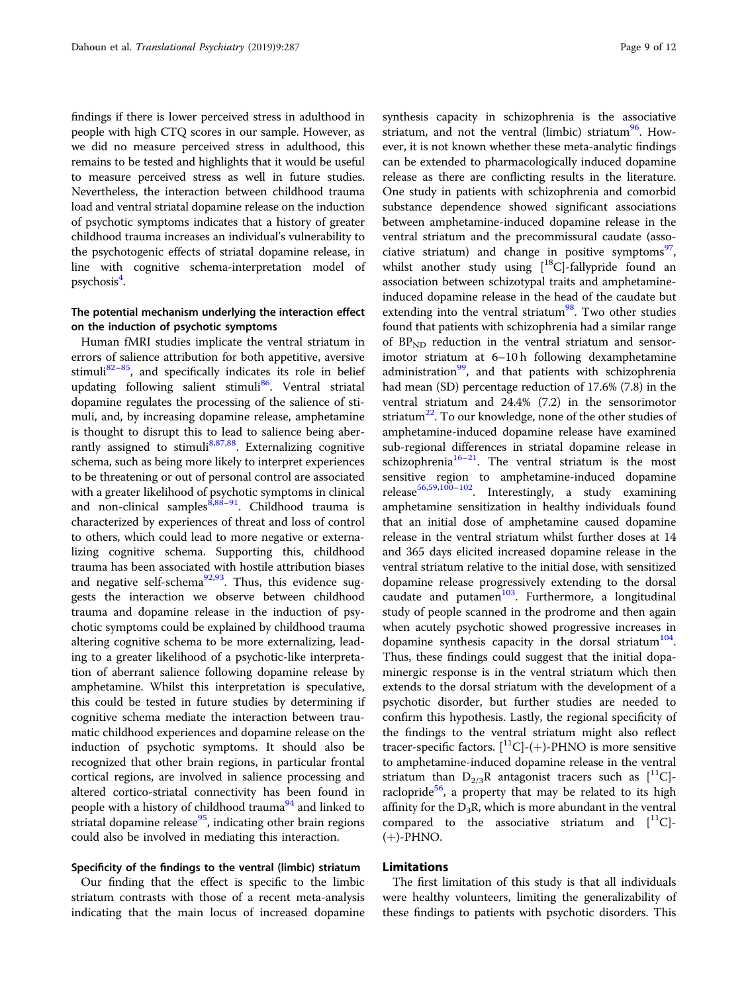findings if there is lower perceived stress in adulthood in people with high CTQ scores in our sample. However, as we did no measure perceived stress in adulthood, this remains to be tested and highlights that it would be useful to measure perceived stress as well in future studies. Nevertheless, the interaction between childhood trauma load and ventral striatal dopamine release on the induction of psychotic symptoms indicates that a history of greater childhood trauma increases an individual's vulnerability to the psychotogenic effects of striatal dopamine release, in line with cognitive schema-interpretation model of psychosis<sup>4</sup>.

# The potential mechanism underlying the interaction effect on the induction of psychotic symptoms

Human fMRI studies implicate the ventral striatum in errors of salience attribution for both appetitive, aversive stimuli<sup>[82](#page-11-0)–85</sup>, and specifically indicates its role in belief updating following salient stimuli<sup>86</sup>. Ventral striatal dopamine regulates the processing of the salience of stimuli, and, by increasing dopamine release, amphetamine is thought to disrupt this to lead to salience being aber-rantly assigned to stimuli<sup>[8](#page-9-0),[87](#page-11-0),88</sup>. Externalizing cognitive schema, such as being more likely to interpret experiences to be threatening or out of personal control are associated with a greater likelihood of psychotic symptoms in clinical and non-clinical samples  $8,88-91$  $8,88-91$  $8,88-91$  $8,88-91$ . Childhood trauma is characterized by experiences of threat and loss of control to others, which could lead to more negative or externalizing cognitive schema. Supporting this, childhood trauma has been associated with hostile attribution biases and negative self-schema $^{92,93}$ . Thus, this evidence suggests the interaction we observe between childhood trauma and dopamine release in the induction of psychotic symptoms could be explained by childhood trauma altering cognitive schema to be more externalizing, leading to a greater likelihood of a psychotic-like interpretation of aberrant salience following dopamine release by amphetamine. Whilst this interpretation is speculative, this could be tested in future studies by determining if cognitive schema mediate the interaction between traumatic childhood experiences and dopamine release on the induction of psychotic symptoms. It should also be recognized that other brain regions, in particular frontal cortical regions, are involved in salience processing and altered cortico-striatal connectivity has been found in people with a history of childhood trauma<sup>[94](#page-11-0)</sup> and linked to striatal dopamine release $95$ , indicating other brain regions could also be involved in mediating this interaction.

# Specificity of the findings to the ventral (limbic) striatum

Our finding that the effect is specific to the limbic striatum contrasts with those of a recent meta-analysis indicating that the main locus of increased dopamine synthesis capacity in schizophrenia is the associative striatum, and not the ventral (limbic) striatum<sup>[96](#page-11-0)</sup>. However, it is not known whether these meta-analytic findings can be extended to pharmacologically induced dopamine release as there are conflicting results in the literature. One study in patients with schizophrenia and comorbid substance dependence showed significant associations between amphetamine-induced dopamine release in the ventral striatum and the precommissural caudate (asso-ciative striatum) and change in positive symptoms<sup>[97](#page-11-0)</sup>, whilst another study using  $[$ <sup>18</sup>C]-fallypride found an association between schizotypal traits and amphetamineinduced dopamine release in the head of the caudate but extending into the ventral striatum $98$ . Two other studies found that patients with schizophrenia had a similar range of  $BP<sub>ND</sub>$  reduction in the ventral striatum and sensorimotor striatum at 6–10 h following dexamphetamine administration $99$ , and that patients with schizophrenia had mean (SD) percentage reduction of 17.6% (7.8) in the ventral striatum and 24.4% (7.2) in the sensorimotor striatum<sup>[22](#page-10-0)</sup>. To our knowledge, none of the other studies of amphetamine-induced dopamine release have examined sub-regional differences in striatal dopamine release in schizophrenia<sup>[16](#page-10-0)–21</sup>. The ventral striatum is the most sensitive region to amphetamine-induced dopamine release<sup>[56,59](#page-10-0)[,100](#page-11-0)-102</sup>. Interestingly, a study examining amphetamine sensitization in healthy individuals found that an initial dose of amphetamine caused dopamine release in the ventral striatum whilst further doses at 14 and 365 days elicited increased dopamine release in the ventral striatum relative to the initial dose, with sensitized dopamine release progressively extending to the dorsal caudate and putamen $103$ . Furthermore, a longitudinal study of people scanned in the prodrome and then again when acutely psychotic showed progressive increases in dopamine synthesis capacity in the dorsal striatum<sup>[104](#page-11-0)</sup>. Thus, these findings could suggest that the initial dopaminergic response is in the ventral striatum which then extends to the dorsal striatum with the development of a psychotic disorder, but further studies are needed to confirm this hypothesis. Lastly, the regional specificity of the findings to the ventral striatum might also reflect tracer-specific factors.  $[{}^{11}C]$ -(+)-PHNO is more sensitive to amphetamine-induced dopamine release in the ventral striatum than  $D_{2/3}R$  antagonist tracers such as  $[$ <sup>11</sup>C $]$ -raclopride<sup>[56](#page-10-0)</sup>, a property that may be related to its high affinity for the  $D_3R$ , which is more abundant in the ventral compared to the associative striatum and  $[$ <sup>11</sup>C]- $(+)$ -PHNO.

## Limitations

The first limitation of this study is that all individuals were healthy volunteers, limiting the generalizability of these findings to patients with psychotic disorders. This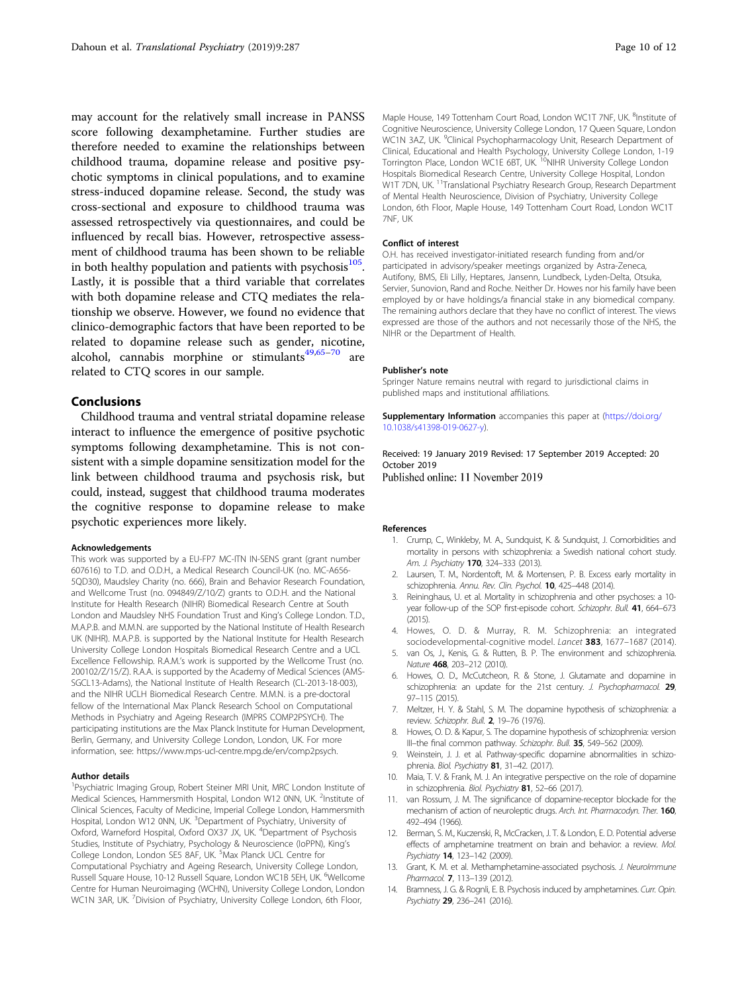<span id="page-9-0"></span>may account for the relatively small increase in PANSS score following dexamphetamine. Further studies are therefore needed to examine the relationships between childhood trauma, dopamine release and positive psychotic symptoms in clinical populations, and to examine stress-induced dopamine release. Second, the study was cross-sectional and exposure to childhood trauma was assessed retrospectively via questionnaires, and could be influenced by recall bias. However, retrospective assessment of childhood trauma has been shown to be reliable in both healthy population and patients with psychosis $105$ . Lastly, it is possible that a third variable that correlates with both dopamine release and CTQ mediates the relationship we observe. However, we found no evidence that clinico-demographic factors that have been reported to be related to dopamine release such as gender, nicotine, alcohol, cannabis morphine or stimulants $49,65-70$  $49,65-70$  $49,65-70$  $49,65-70$  $49,65-70$  are related to CTQ scores in our sample.

# Conclusions

Childhood trauma and ventral striatal dopamine release interact to influence the emergence of positive psychotic symptoms following dexamphetamine. This is not consistent with a simple dopamine sensitization model for the link between childhood trauma and psychosis risk, but could, instead, suggest that childhood trauma moderates the cognitive response to dopamine release to make psychotic experiences more likely.

#### Acknowledgements

This work was supported by a EU-FP7 MC-ITN IN-SENS grant (grant number 607616) to T.D. and O.D.H., a Medical Research Council-UK (no. MC-A656- 5QD30), Maudsley Charity (no. 666), Brain and Behavior Research Foundation, and Wellcome Trust (no. 094849/Z/10/Z) grants to O.D.H. and the National Institute for Health Research (NIHR) Biomedical Research Centre at South London and Maudsley NHS Foundation Trust and King's College London. T.D., M.A.P.B. and M.M.N. are supported by the National Institute of Health Research UK (NIHR). M.A.P.B. is supported by the National Institute for Health Research University College London Hospitals Biomedical Research Centre and a UCL Excellence Fellowship. R.A.M.'s work is supported by the Wellcome Trust (no. 200102/Z/15/Z). R.A.A. is supported by the Academy of Medical Sciences (AMS-SGCL13-Adams), the National Institute of Health Research (CL-2013-18-003), and the NIHR UCLH Biomedical Research Centre. M.M.N. is a pre-doctoral fellow of the International Max Planck Research School on Computational Methods in Psychiatry and Ageing Research (IMPRS COMP2PSYCH). The participating institutions are the Max Planck Institute for Human Development, Berlin, Germany, and University College London, London, UK. For more information, see: https://www.mps-ucl-centre.mpg.de/en/comp2psych.

#### Author details

<sup>1</sup>Psychiatric Imaging Group, Robert Steiner MRI Unit, MRC London Institute of Medical Sciences, Hammersmith Hospital, London W12 0NN, UK. <sup>2</sup>Institute of Clinical Sciences, Faculty of Medicine, Imperial College London, Hammersmith Hospital, London W12 0NN, UK. <sup>3</sup>Department of Psychiatry, University of Oxford, Warneford Hospital, Oxford OX37 JX, UK. <sup>4</sup>Department of Psychosis Studies, Institute of Psychiatry, Psychology & Neuroscience (IoPPN), King's College London, London SE5 8AF, UK. <sup>5</sup>Max Planck UCL Centre for Computational Psychiatry and Ageing Research, University College London, Russell Square House, 10-12 Russell Square, London WC1B 5EH, UK. <sup>6</sup>Wellcome Centre for Human Neuroimaging (WCHN), University College London, London WC1N 3AR, UK. <sup>7</sup>Division of Psychiatry, University College London, 6th Floor,

Maple House, 149 Tottenham Court Road, London WC1T 7NF, UK. <sup>8</sup>Institute of Cognitive Neuroscience, University College London, 17 Queen Square, London WC1N 3AZ, UK. <sup>9</sup>Clinical Psychopharmacology Unit, Research Department of Clinical, Educational and Health Psychology, University College London, 1-19 Torrington Place, London WC1E 6BT, UK. <sup>10</sup>NIHR University College London Hospitals Biomedical Research Centre, University College Hospital, London W1T 7DN, UK.<sup>11</sup>Translational Psychiatry Research Group, Research Department of Mental Health Neuroscience, Division of Psychiatry, University College London, 6th Floor, Maple House, 149 Tottenham Court Road, London WC1T 7NF, UK

#### Conflict of interest

O.H. has received investigator-initiated research funding from and/or participated in advisory/speaker meetings organized by Astra-Zeneca, Autifony, BMS, Eli Lilly, Heptares, Jansenn, Lundbeck, Lyden-Delta, Otsuka, Servier, Sunovion, Rand and Roche. Neither Dr. Howes nor his family have been employed by or have holdings/a financial stake in any biomedical company. The remaining authors declare that they have no conflict of interest. The views expressed are those of the authors and not necessarily those of the NHS, the NIHR or the Department of Health.

#### Publisher's note

Springer Nature remains neutral with regard to jurisdictional claims in published maps and institutional affiliations.

Supplementary Information accompanies this paper at ([https://doi.org/](https://doi.org/10.1038/s41398-019-0627-y) [10.1038/s41398-019-0627-y\)](https://doi.org/10.1038/s41398-019-0627-y).

Received: 19 January 2019 Revised: 17 September 2019 Accepted: 20 October 2019 Published online: 11 November 2019

#### References

- 1. Crump, C., Winkleby, M. A., Sundquist, K. & Sundquist, J. Comorbidities and mortality in persons with schizophrenia: a Swedish national cohort study. Am. J. Psychiatry 170, 324-333 (2013).
- 2. Laursen, T. M., Nordentoft, M. & Mortensen, P. B. Excess early mortality in schizophrenia. Annu. Rev. Clin. Psychol. 10, 425-448 (2014).
- 3. Reininghaus, U. et al. Mortality in schizophrenia and other psychoses: a 10 year follow-up of the SOP first-episode cohort. Schizophr. Bull. 41, 664-673 (2015).
- 4. Howes, O. D. & Murray, R. M. Schizophrenia: an integrated sociodevelopmental-cognitive model. Lancet 383, 1677–1687 (2014).
- 5. van Os, J., Kenis, G. & Rutten, B. P. The environment and schizophrenia. Nature 468, 203–212 (2010).
- 6. Howes, O. D., McCutcheon, R. & Stone, J. Glutamate and dopamine in schizophrenia: an update for the 21st century. J. Psychopharmacol. 29, 97–115 (2015).
- 7. Meltzer, H. Y. & Stahl, S. M. The dopamine hypothesis of schizophrenia: a review. Schizophr. Bull. 2, 19-76 (1976).
- 8. Howes, O. D. & Kapur, S. The dopamine hypothesis of schizophrenia: version III–the final common pathway. Schizophr. Bull. 35, 549–562 (2009).
- 9. Weinstein, J. J. et al. Pathway-specific dopamine abnormalities in schizophrenia. Biol. Psychiatry 81, 31-42. (2017).
- 10. Maia, T. V. & Frank, M. J. An integrative perspective on the role of dopamine in schizophrenia. Biol. Psychiatry 81, 52-66 (2017).
- 11. van Rossum, J. M. The significance of dopamine-receptor blockade for the mechanism of action of neuroleptic drugs. Arch. Int. Pharmacodyn. Ther. 160, 492–494 (1966).
- 12. Berman, S. M., Kuczenski, R., McCracken, J. T. & London, E. D. Potential adverse effects of amphetamine treatment on brain and behavior: a review. Mol. Psychiatry 14, 123–142 (2009).
- 13. Grant, K. M. et al. Methamphetamine-associated psychosis. J. NeuroImmune Pharmacol. 7, 113–139 (2012).
- 14. Bramness, J. G. & Rognli, E. B. Psychosis induced by amphetamines. Curr. Opin. Psychiatry 29, 236–241 (2016).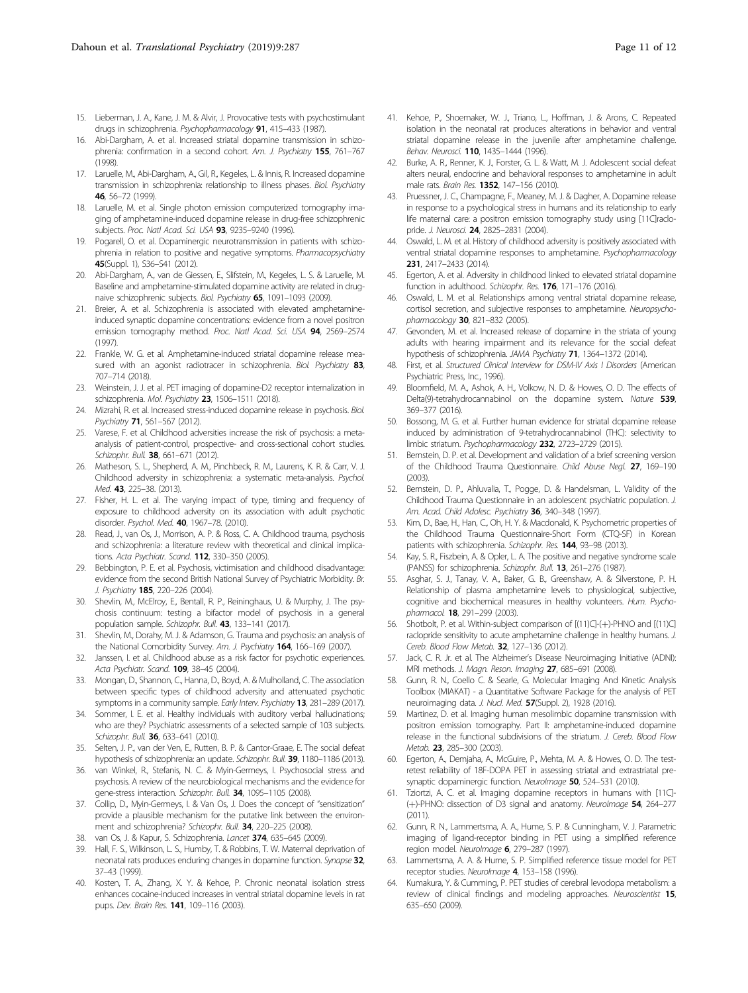- <span id="page-10-0"></span>15. Lieberman, J. A., Kane, J. M. & Alvir, J. Provocative tests with psychostimulant drugs in schizophrenia. Psychopharmacology 91, 415-433 (1987).
- 16. Abi-Dargham, A. et al. Increased striatal dopamine transmission in schizophrenia: confirmation in a second cohort. Am. J. Psychiatry 155, 761–767 (1998).
- 17. Laruelle, M., Abi-Dargham, A., Gil, R., Kegeles, L. & Innis, R. Increased dopamine transmission in schizophrenia: relationship to illness phases. Biol. Psychiatry 46, 56–72 (1999).
- 18. Laruelle, M. et al. Single photon emission computerized tomography imaging of amphetamine-induced dopamine release in drug-free schizophrenic subjects. Proc. Natl Acad. Sci. USA 93, 9235-9240 (1996).
- 19. Pogarell, O. et al. Dopaminergic neurotransmission in patients with schizophrenia in relation to positive and negative symptoms. Pharmacopsychiatry 45(Suppl. 1), S36–S41 (2012).
- 20. Abi-Dargham, A., van de Giessen, E., Slifstein, M., Kegeles, L. S. & Laruelle, M. Baseline and amphetamine-stimulated dopamine activity are related in drugnaive schizophrenic subjects. Biol. Psychiatry 65, 1091–1093 (2009).
- 21. Breier, A. et al. Schizophrenia is associated with elevated amphetamineinduced synaptic dopamine concentrations: evidence from a novel positron emission tomography method. Proc. Natl Acad. Sci. USA 94, 2569-2574 (1997).
- 22. Frankle, W. G. et al. Amphetamine-induced striatal dopamine release measured with an agonist radiotracer in schizophrenia. Biol. Psychiatry 83, 707–714 (2018).
- 23. Weinstein, J. J. et al. PET imaging of dopamine-D2 receptor internalization in schizophrenia. Mol. Psychiatry 23, 1506-1511 (2018).
- 24. Mizrahi, R. et al. Increased stress-induced dopamine release in psychosis. Biol. Psychiatry 71, 561-567 (2012).
- 25. Varese, F. et al. Childhood adversities increase the risk of psychosis: a metaanalysis of patient-control, prospective- and cross-sectional cohort studies. Schizophr. Bull. 38, 661-671 (2012).
- 26. Matheson, S. L., Shepherd, A. M., Pinchbeck, R. M., Laurens, K. R. & Carr, V. J. Childhood adversity in schizophrenia: a systematic meta-analysis. Psychol. Med. 43, 225-38. (2013).
- 27. Fisher, H. L. et al. The varying impact of type, timing and frequency of exposure to childhood adversity on its association with adult psychotic disorder. Psychol. Med. 40, 1967–78. (2010).
- 28. Read, J., van Os, J., Morrison, A. P. & Ross, C. A. Childhood trauma, psychosis and schizophrenia: a literature review with theoretical and clinical implications. Acta Psychiatr. Scand. 112, 330–350 (2005).
- 29. Bebbington, P. E. et al. Psychosis, victimisation and childhood disadvantage: evidence from the second British National Survey of Psychiatric Morbidity. Br. J. Psychiatry 185, 220–226 (2004).
- Shevlin, M., McElroy, E., Bentall, R. P., Reininghaus, U. & Murphy, J. The psychosis continuum: testing a bifactor model of psychosis in a general population sample. Schizophr. Bull. 43, 133-141 (2017).
- 31. Shevlin, M., Dorahy, M. J. & Adamson, G. Trauma and psychosis: an analysis of the National Comorbidity Survey. Am. J. Psychiatry 164, 166-169 (2007).
- 32. Janssen, I. et al. Childhood abuse as a risk factor for psychotic experiences. Acta Psychiatr. Scand. 109, 38–45 (2004).
- 33. Mongan, D., Shannon, C., Hanna, D., Boyd, A. & Mulholland, C. The association between specific types of childhood adversity and attenuated psychotic symptoms in a community sample. Early Interv. Psychiatry 13, 281-289 (2017).
- 34. Sommer, I. E. et al. Healthy individuals with auditory verbal hallucinations; who are they? Psychiatric assessments of a selected sample of 103 subjects. Schizophr. Bull. 36, 633-641 (2010).
- Selten, J. P., van der Ven, E., Rutten, B. P. & Cantor-Graae, E. The social defeat hypothesis of schizophrenia: an update. Schizophr. Bull. 39, 1180–1186 (2013).
- 36. van Winkel, R., Stefanis, N. C. & Myin-Germeys, I. Psychosocial stress and psychosis. A review of the neurobiological mechanisms and the evidence for gene-stress interaction. Schizophr. Bull. 34, 1095-1105 (2008).
- 37. Collip, D., Myin-Germeys, I. & Van Os, J. Does the concept of "sensitization" provide a plausible mechanism for the putative link between the environment and schizophrenia? Schizophr. Bull. 34, 220–225 (2008).
- 38. van Os, J. & Kapur, S. Schizophrenia. Lancet 374, 635–645 (2009).
- 39. Hall, F. S., Wilkinson, L. S., Humby, T. & Robbins, T. W. Maternal deprivation of neonatal rats produces enduring changes in dopamine function. Synapse 32, 37–43 (1999).
- Kosten, T. A., Zhang, X. Y. & Kehoe, P. Chronic neonatal isolation stress enhances cocaine-induced increases in ventral striatal dopamine levels in rat pups. Dev. Brain Res. 141, 109–116 (2003).
- 41. Kehoe, P., Shoemaker, W. J., Triano, L., Hoffman, J. & Arons, C. Repeated isolation in the neonatal rat produces alterations in behavior and ventral striatal dopamine release in the juvenile after amphetamine challenge. Behav. Neurosci. 110, 1435–1444 (1996).
- 42. Burke, A. R., Renner, K. J., Forster, G. L. & Watt, M. J. Adolescent social defeat alters neural, endocrine and behavioral responses to amphetamine in adult male rats. Brain Res. 1352, 147–156 (2010).
- 43. Pruessner, J. C., Champagne, F., Meaney, M. J. & Dagher, A. Dopamine release in response to a psychological stress in humans and its relationship to early life maternal care: a positron emission tomography study using [11C]raclopride. J. Neurosci. 24, 2825-2831 (2004).
- 44. Oswald, L. M. et al. History of childhood adversity is positively associated with ventral striatal dopamine responses to amphetamine. Psychopharmacology 231, 2417–2433 (2014).
- 45. Egerton, A. et al. Adversity in childhood linked to elevated striatal dopamine function in adulthood. Schizophr. Res. 176, 171–176 (2016).
- 46. Oswald, L. M. et al. Relationships among ventral striatal dopamine release, cortisol secretion, and subjective responses to amphetamine. Neuropsychopharmacology 30, 821-832 (2005).
- 47. Gevonden, M. et al. Increased release of dopamine in the striata of young adults with hearing impairment and its relevance for the social defeat hypothesis of schizophrenia. JAMA Psychiatry 71, 1364–1372 (2014).
- 48. First, et al. Structured Clinical Interview for DSM-IV Axis I Disorders (American Psychiatric Press, Inc., 1996).
- 49. Bloomfield, M. A., Ashok, A. H., Volkow, N. D. & Howes, O. D. The effects of Delta(9)-tetrahydrocannabinol on the dopamine system. Nature 539, 369–377 (2016).
- 50. Bossong, M. G. et al. Further human evidence for striatal dopamine release induced by administration of 9-tetrahydrocannabinol (THC): selectivity to limbic striatum. Psychopharmacology 232, 2723–2729 (2015).
- 51. Bernstein, D. P. et al. Development and validation of a brief screening version of the Childhood Trauma Questionnaire. Child Abuse Negl. 27, 169–190 (2003).
- 52. Bernstein, D. P., Ahluvalia, T., Pogge, D. & Handelsman, L. Validity of the Childhood Trauma Questionnaire in an adolescent psychiatric population. J. Am. Acad. Child Adolesc. Psychiatry 36, 340-348 (1997).
- 53. Kim, D., Bae, H., Han, C., Oh, H. Y. & Macdonald, K. Psychometric properties of the Childhood Trauma Questionnaire-Short Form (CTQ-SF) in Korean patients with schizophrenia. Schizophr. Res. 144, 93-98 (2013).
- 54. Kay, S. R., Fiszbein, A. & Opler, L. A. The positive and negative syndrome scale (PANSS) for schizophrenia. Schizophr. Bull. 13, 261–276 (1987).
- 55. Asghar, S. J., Tanay, V. A., Baker, G. B., Greenshaw, A. & Silverstone, P. H. Relationship of plasma amphetamine levels to physiological, subjective, cognitive and biochemical measures in healthy volunteers. Hum. Psychopharmacol. 18, 291–299 (2003).
- 56. Shotbolt, P. et al. Within-subject comparison of [(11)C]-(+)-PHNO and [(11)C] raclopride sensitivity to acute amphetamine challenge in healthy humans. J. Cereb. Blood Flow Metab. 32, 127–136 (2012).
- 57. Jack, C. R. Jr. et al. The Alzheimer's Disease Neuroimaging Initiative (ADNI): MRI methods. J. Magn. Reson. Imaging 27, 685–691 (2008).
- 58. Gunn, R. N., Coello C. & Searle, G. Molecular Imaging And Kinetic Analysis Toolbox (MIAKAT) - a Quantitative Software Package for the analysis of PET neuroimaging data. J. Nucl. Med. 57(Suppl. 2), 1928 (2016).
- 59. Martinez, D. et al. Imaging human mesolimbic dopamine transmission with positron emission tomography. Part II: amphetamine-induced dopamine release in the functional subdivisions of the striatum. J. Cereb. Blood Flow Metab. 23, 285–300 (2003).
- 60. Egerton, A., Demjaha, A., McGuire, P., Mehta, M. A. & Howes, O. D. The testretest reliability of 18F-DOPA PET in assessing striatal and extrastriatal presynaptic dopaminergic function. Neurolmage 50, 524-531 (2010).
- 61. Tziortzi, A. C. et al. Imaging dopamine receptors in humans with [11C]- (+)-PHNO: dissection of D3 signal and anatomy. Neurolmage 54, 264-277 (2011).
- 62. Gunn, R. N., Lammertsma, A. A., Hume, S. P. & Cunningham, V. J. Parametric imaging of ligand-receptor binding in PET using a simplified reference region model. NeuroImage 6, 279-287 (1997).
- 63. Lammertsma, A. A. & Hume, S. P. Simplified reference tissue model for PET receptor studies. NeuroImage 4, 153-158 (1996).
- 64. Kumakura, Y. & Cumming, P. PET studies of cerebral levodopa metabolism: a review of clinical findings and modeling approaches. Neuroscientist 15, 635–650 (2009).